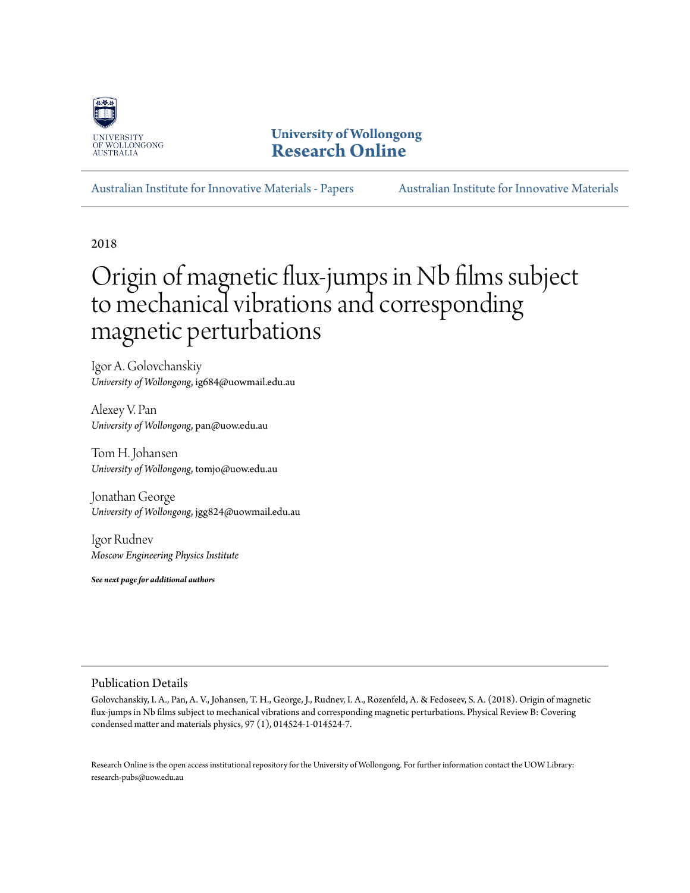

**University of Wollongong [Research Online](http://ro.uow.edu.au)**

[Australian Institute for Innovative Materials - Papers](http://ro.uow.edu.au/aiimpapers) [Australian Institute for Innovative Materials](http://ro.uow.edu.au/aiim)

2018

# Origin of magnetic flux-jumps in Nb films subject to mechanical vibrations and corresponding magnetic perturbations

Igor A. Golovchanskiy *University of Wollongong*, ig684@uowmail.edu.au

Alexey V. Pan *University of Wollongong*, pan@uow.edu.au

Tom H. Johansen *University of Wollongong*, tomjo@uow.edu.au

Jonathan George *University of Wollongong*, jgg824@uowmail.edu.au

Igor Rudnev *Moscow Engineering Physics Institute*

*See next page for additional authors*

# Publication Details

Golovchanskiy, I. A., Pan, A. V., Johansen, T. H., George, J., Rudnev, I. A., Rozenfeld, A. & Fedoseev, S. A. (2018). Origin of magnetic flux-jumps in Nb films subject to mechanical vibrations and corresponding magnetic perturbations. Physical Review B: Covering condensed matter and materials physics, 97 (1), 014524-1-014524-7.

Research Online is the open access institutional repository for the University of Wollongong. For further information contact the UOW Library: research-pubs@uow.edu.au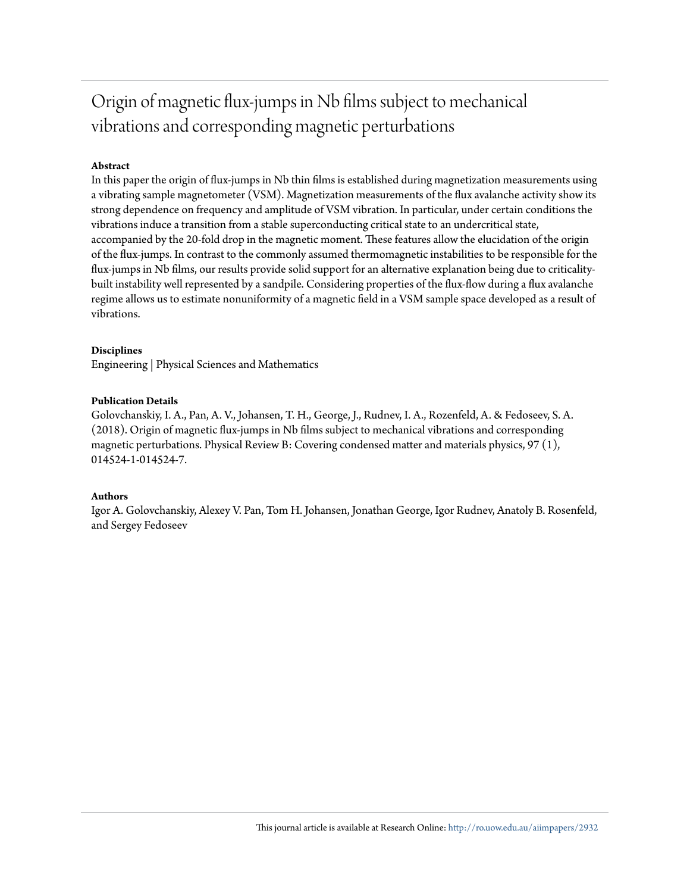# Origin of magnetic flux-jumps in Nb films subject to mechanical vibrations and corresponding magnetic perturbations

# **Abstract**

In this paper the origin of flux-jumps in Nb thin films is established during magnetization measurements using a vibrating sample magnetometer (VSM). Magnetization measurements of the flux avalanche activity show its strong dependence on frequency and amplitude of VSM vibration. In particular, under certain conditions the vibrations induce a transition from a stable superconducting critical state to an undercritical state, accompanied by the 20-fold drop in the magnetic moment. These features allow the elucidation of the origin of the flux-jumps. In contrast to the commonly assumed thermomagnetic instabilities to be responsible for the flux-jumps in Nb films, our results provide solid support for an alternative explanation being due to criticalitybuilt instability well represented by a sandpile. Considering properties of the flux-flow during a flux avalanche regime allows us to estimate nonuniformity of a magnetic field in a VSM sample space developed as a result of vibrations.

## **Disciplines**

Engineering | Physical Sciences and Mathematics

## **Publication Details**

Golovchanskiy, I. A., Pan, A. V., Johansen, T. H., George, J., Rudnev, I. A., Rozenfeld, A. & Fedoseev, S. A. (2018). Origin of magnetic flux-jumps in Nb films subject to mechanical vibrations and corresponding magnetic perturbations. Physical Review B: Covering condensed matter and materials physics, 97 (1), 014524-1-014524-7.

#### **Authors**

Igor A. Golovchanskiy, Alexey V. Pan, Tom H. Johansen, Jonathan George, Igor Rudnev, Anatoly B. Rosenfeld, and Sergey Fedoseev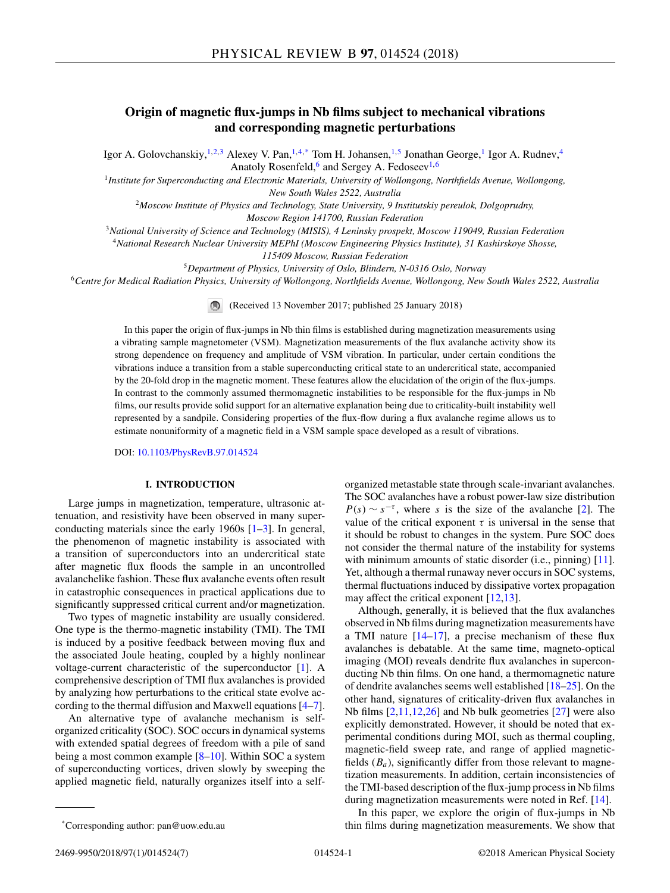# **Origin of magnetic flux-jumps in Nb films subject to mechanical vibrations and corresponding magnetic perturbations**

Igor A. Golovchanskiy,<sup>1,2,3</sup> Alexey V. Pan,<sup>1,4,\*</sup> Tom H. Johansen,<sup>1,5</sup> Jonathan George,<sup>1</sup> Igor A. Rudnev,<sup>4</sup> Anatoly Rosenfeld,<sup>6</sup> and Sergey A. Fedoseev<sup>1,6</sup>

<sup>1</sup>*Institute for Superconducting and Electronic Materials, University of Wollongong, Northfields Avenue, Wollongong, New South Wales 2522, Australia*

<sup>2</sup>*Moscow Institute of Physics and Technology, State University, 9 Institutskiy pereulok, Dolgoprudny,*

*Moscow Region 141700, Russian Federation*

<sup>3</sup>*National University of Science and Technology (MISIS), 4 Leninsky prospekt, Moscow 119049, Russian Federation*

<sup>4</sup>*National Research Nuclear University MEPhI (Moscow Engineering Physics Institute), 31 Kashirskoye Shosse,*

*115409 Moscow, Russian Federation*

<sup>5</sup>*Department of Physics, University of Oslo, Blindern, N-0316 Oslo, Norway*

<sup>6</sup>*Centre for Medical Radiation Physics, University of Wollongong, Northfields Avenue, Wollongong, New South Wales 2522, Australia*

(Received 13 November 2017; published 25 January 2018)

In this paper the origin of flux-jumps in Nb thin films is established during magnetization measurements using a vibrating sample magnetometer (VSM). Magnetization measurements of the flux avalanche activity show its strong dependence on frequency and amplitude of VSM vibration. In particular, under certain conditions the vibrations induce a transition from a stable superconducting critical state to an undercritical state, accompanied by the 20-fold drop in the magnetic moment. These features allow the elucidation of the origin of the flux-jumps. In contrast to the commonly assumed thermomagnetic instabilities to be responsible for the flux-jumps in Nb films, our results provide solid support for an alternative explanation being due to criticality-built instability well represented by a sandpile. Considering properties of the flux-flow during a flux avalanche regime allows us to estimate nonuniformity of a magnetic field in a VSM sample space developed as a result of vibrations.

DOI: [10.1103/PhysRevB.97.014524](https://doi.org/10.1103/PhysRevB.97.014524)

#### **I. INTRODUCTION**

Large jumps in magnetization, temperature, ultrasonic attenuation, and resistivity have been observed in many superconducting materials since the early 1960s [\[1–3\]](#page-7-0). In general, the phenomenon of magnetic instability is associated with a transition of superconductors into an undercritical state after magnetic flux floods the sample in an uncontrolled avalanchelike fashion. These flux avalanche events often result in catastrophic consequences in practical applications due to significantly suppressed critical current and/or magnetization.

Two types of magnetic instability are usually considered. One type is the thermo-magnetic instability (TMI). The TMI is induced by a positive feedback between moving flux and the associated Joule heating, coupled by a highly nonlinear voltage-current characteristic of the superconductor [\[1\]](#page-7-0). A comprehensive description of TMI flux avalanches is provided by analyzing how perturbations to the critical state evolve according to the thermal diffusion and Maxwell equations [\[4–7\]](#page-7-0).

An alternative type of avalanche mechanism is selforganized criticality (SOC). SOC occurs in dynamical systems with extended spatial degrees of freedom with a pile of sand being a most common example [\[8–10\]](#page-7-0). Within SOC a system of superconducting vortices, driven slowly by sweeping the applied magnetic field, naturally organizes itself into a selforganized metastable state through scale-invariant avalanches. The SOC avalanches have a robust power-law size distribution  $P(s) \sim s^{-\tau}$ , where *s* is the size of the avalanche [\[2\]](#page-7-0). The value of the critical exponent  $\tau$  is universal in the sense that it should be robust to changes in the system. Pure SOC does not consider the thermal nature of the instability for systems with minimum amounts of static disorder (i.e., pinning) [\[11\]](#page-7-0). Yet, although a thermal runaway never occurs in SOC systems, thermal fluctuations induced by dissipative vortex propagation may affect the critical exponent [\[12,](#page-7-0)[13\]](#page-8-0).

Although, generally, it is believed that the flux avalanches observed in Nb films during magnetization measurements have a TMI nature [\[14–17\]](#page-8-0), a precise mechanism of these flux avalanches is debatable. At the same time, magneto-optical imaging (MOI) reveals dendrite flux avalanches in superconducting Nb thin films. On one hand, a thermomagnetic nature of dendrite avalanches seems well established [\[18–25\]](#page-8-0). On the other hand, signatures of criticality-driven flux avalanches in Nb films [\[2,11,12,](#page-7-0)[26\]](#page-8-0) and Nb bulk geometries [\[27\]](#page-8-0) were also explicitly demonstrated. However, it should be noted that experimental conditions during MOI, such as thermal coupling, magnetic-field sweep rate, and range of applied magneticfields  $(B_a)$ , significantly differ from those relevant to magnetization measurements. In addition, certain inconsistencies of the TMI-based description of the flux-jump process in Nb films during magnetization measurements were noted in Ref. [\[14\]](#page-8-0).

In this paper, we explore the origin of flux-jumps in Nb thin films during magnetization measurements. We show that

<sup>\*</sup>Corresponding author: pan@uow.edu.au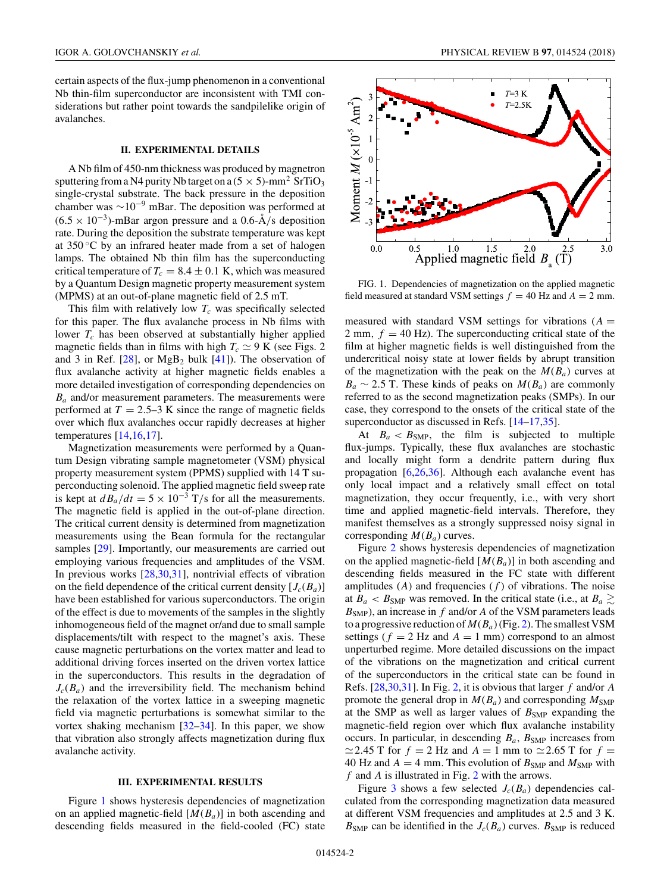certain aspects of the flux-jump phenomenon in a conventional Nb thin-film superconductor are inconsistent with TMI considerations but rather point towards the sandpilelike origin of avalanches.

#### **II. EXPERIMENTAL DETAILS**

A Nb film of 450-nm thickness was produced by magnetron sputtering from a N4 purity Nb target on a  $(5 \times 5)$ -mm<sup>2</sup> SrTiO<sub>3</sub> single-crystal substrate. The back pressure in the deposition chamber was  $\sim 10^{-9}$  mBar. The deposition was performed at  $(6.5 \times 10^{-3})$ -mBar argon pressure and a 0.6- $\AA$ /s deposition rate. During the deposition the substrate temperature was kept at  $350^{\circ}$ C by an infrared heater made from a set of halogen lamps. The obtained Nb thin film has the superconducting critical temperature of  $T_c = 8.4 \pm 0.1$  K, which was measured by a Quantum Design magnetic property measurement system (MPMS) at an out-of-plane magnetic field of 2.5 mT.

This film with relatively low  $T_c$  was specifically selected for this paper. The flux avalanche process in Nb films with lower  $T_c$  has been observed at substantially higher applied magnetic fields than in films with high  $T_c \simeq 9$  K (see Figs. 2) and 3 in Ref.  $[28]$ , or MgB<sub>2</sub> bulk  $[41]$ ). The observation of flux avalanche activity at higher magnetic fields enables a more detailed investigation of corresponding dependencies on *Ba* and/or measurement parameters. The measurements were performed at  $T = 2.5-3$  K since the range of magnetic fields over which flux avalanches occur rapidly decreases at higher temperatures [\[14,16,17\]](#page-8-0).

Magnetization measurements were performed by a Quantum Design vibrating sample magnetometer (VSM) physical property measurement system (PPMS) supplied with 14 T superconducting solenoid. The applied magnetic field sweep rate is kept at  $d\overline{B}_a/dt = 5 \times 10^{-3}$  T/s for all the measurements. The magnetic field is applied in the out-of-plane direction. The critical current density is determined from magnetization measurements using the Bean formula for the rectangular samples [\[29\]](#page-8-0). Importantly, our measurements are carried out employing various frequencies and amplitudes of the VSM. In previous works [\[28,30,31\]](#page-8-0), nontrivial effects of vibration on the field dependence of the critical current density  $[J_c(B_a)]$ have been established for various superconductors. The origin of the effect is due to movements of the samples in the slightly inhomogeneous field of the magnet or/and due to small sample displacements/tilt with respect to the magnet's axis. These cause magnetic perturbations on the vortex matter and lead to additional driving forces inserted on the driven vortex lattice in the superconductors. This results in the degradation of  $J_c(B_a)$  and the irreversibility field. The mechanism behind the relaxation of the vortex lattice in a sweeping magnetic field via magnetic perturbations is somewhat similar to the vortex shaking mechanism  $[32-34]$ . In this paper, we show that vibration also strongly affects magnetization during flux avalanche activity.

#### **III. EXPERIMENTAL RESULTS**

Figure 1 shows hysteresis dependencies of magnetization on an applied magnetic-field [*M*(*Ba*)] in both ascending and descending fields measured in the field-cooled (FC) state



FIG. 1. Dependencies of magnetization on the applied magnetic field measured at standard VSM settings  $f = 40$  Hz and  $A = 2$  mm.

measured with standard VSM settings for vibrations  $(A =$ 2 mm,  $f = 40$  Hz). The superconducting critical state of the film at higher magnetic fields is well distinguished from the undercritical noisy state at lower fields by abrupt transition of the magnetization with the peak on the  $M(B_a)$  curves at  $B_a \sim 2.5$  T. These kinds of peaks on  $M(B_a)$  are commonly referred to as the second magnetization peaks (SMPs). In our case, they correspond to the onsets of the critical state of the superconductor as discussed in Refs. [\[14–17,35\]](#page-8-0).

At  $B_a < B_{\text{SMP}}$ , the film is subjected to multiple flux-jumps. Typically, these flux avalanches are stochastic and locally might form a dendrite pattern during flux propagation [\[6,](#page-7-0)[26,36\]](#page-8-0). Although each avalanche event has only local impact and a relatively small effect on total magnetization, they occur frequently, i.e., with very short time and applied magnetic-field intervals. Therefore, they manifest themselves as a strongly suppressed noisy signal in corresponding  $M(B_a)$  curves.

Figure [2](#page-4-0) shows hysteresis dependencies of magnetization on the applied magnetic-field [*M*(*Ba*)] in both ascending and descending fields measured in the FC state with different amplitudes  $(A)$  and frequencies  $(f)$  of vibrations. The noise at  $B_a < B_{\text{SMP}}$  was removed. In the critical state (i.e., at  $B_a \gtrsim$ *B*SMP), an increase in *f* and/or *A* of the VSM parameters leads to a progressive reduction of  $M(B_a)$  (Fig. [2\)](#page-4-0). The smallest VSM settings ( $f = 2$  Hz and  $A = 1$  mm) correspond to an almost unperturbed regime. More detailed discussions on the impact of the vibrations on the magnetization and critical current of the superconductors in the critical state can be found in Refs. [\[28,30,31\]](#page-8-0). In Fig. [2,](#page-4-0) it is obvious that larger *f* and/or *A* promote the general drop in  $M(B_a)$  and corresponding  $M_{\text{SMP}}$ at the SMP as well as larger values of  $B_{\text{SMP}}$  expanding the magnetic-field region over which flux avalanche instability occurs. In particular, in descending  $B_a$ ,  $B_{\text{SMP}}$  increases from  $\simeq$  2.45 T for  $f = 2$  Hz and  $A = 1$  mm to  $\simeq$  2.65 T for  $f =$ 40 Hz and  $A = 4$  mm. This evolution of  $B_{\text{SMP}}$  and  $M_{\text{SMP}}$  with *f* and *A* is illustrated in Fig. [2](#page-4-0) with the arrows.

Figure [3](#page-4-0) shows a few selected  $J_c(B_a)$  dependencies calculated from the corresponding magnetization data measured at different VSM frequencies and amplitudes at 2.5 and 3 K.  $B_{\text{SMP}}$  can be identified in the  $J_c(B_a)$  curves.  $B_{\text{SMP}}$  is reduced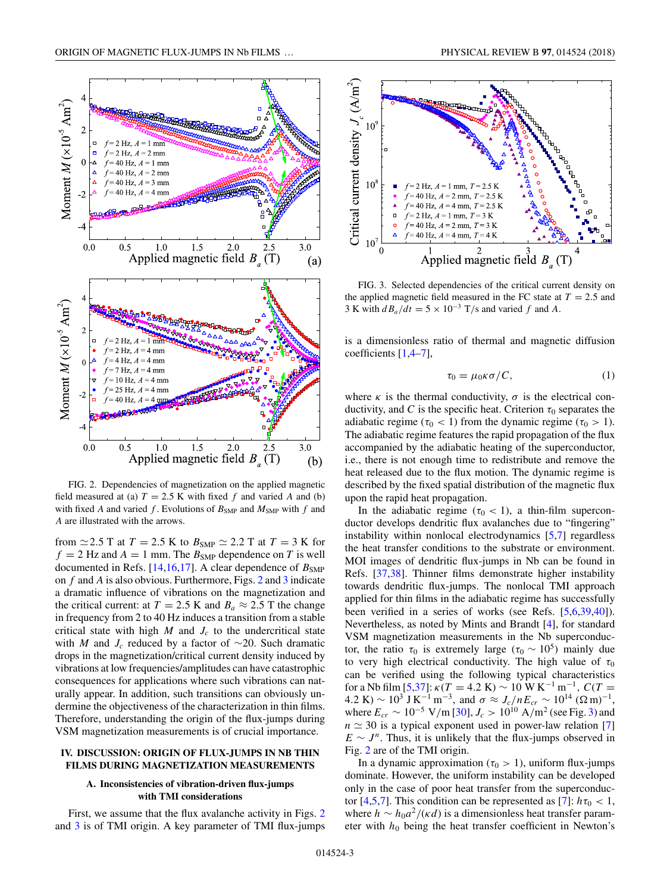<span id="page-4-0"></span>

field measured at (a)  $T = 2.5$  K with fixed  $f$  and varied  $A$  and (b) with fixed *A* and varied *f*. Evolutions of  $B_{\text{SMP}}$  and  $M_{\text{SMP}}$  with *f* and *A* are illustrated with the arrows.

from  $\simeq$  2.5 T at  $T = 2.5$  K to  $B_{\text{SMP}} \simeq 2.2$  T at  $T = 3$  K for  $f = 2$  Hz and  $A = 1$  mm. The  $B_{SMP}$  dependence on *T* is well documented in Refs.  $[14, 16, 17]$ . A clear dependence of  $B_{\text{SMP}}$ on *f* and *A* is also obvious. Furthermore, Figs. 2 and 3 indicate a dramatic influence of vibrations on the magnetization and the critical current: at  $T = 2.5$  K and  $B_a \approx 2.5$  T the change in frequency from 2 to 40 Hz induces a transition from a stable critical state with high  $M$  and  $J_c$  to the undercritical state with *M* and  $J_c$  reduced by a factor of ~20. Such dramatic drops in the magnetization/critical current density induced by vibrations at low frequencies/amplitudes can have catastrophic consequences for applications where such vibrations can naturally appear. In addition, such transitions can obviously undermine the objectiveness of the characterization in thin films. Therefore, understanding the origin of the flux-jumps during VSM magnetization measurements is of crucial importance.

#### **IV. DISCUSSION: ORIGIN OF FLUX-JUMPS IN NB THIN FILMS DURING MAGNETIZATION MEASUREMENTS**

#### **A. Inconsistencies of vibration-driven flux-jumps with TMI considerations**

First, we assume that the flux avalanche activity in Figs. 2 and 3 is of TMI origin. A key parameter of TMI flux-jumps



FIG. 3. Selected dependencies of the critical current density on the applied magnetic field measured in the FC state at  $T = 2.5$  and 3 K with  $d_{a}/dt = 5 \times 10^{-3}$  T/s and varied *f* and *A*.

is a dimensionless ratio of thermal and magnetic diffusion coefficients [\[1,4–7\]](#page-7-0),

$$
\tau_0 = \mu_0 \kappa \sigma / C,\tag{1}
$$

where  $\kappa$  is the thermal conductivity,  $\sigma$  is the electrical conductivity, and *C* is the specific heat. Criterion  $\tau_0$  separates the adiabatic regime ( $\tau_0$  < 1) from the dynamic regime ( $\tau_0$  > 1). The adiabatic regime features the rapid propagation of the flux accompanied by the adiabatic heating of the superconductor, i.e., there is not enough time to redistribute and remove the heat released due to the flux motion. The dynamic regime is described by the fixed spatial distribution of the magnetic flux upon the rapid heat propagation.

In the adiabatic regime ( $\tau_0$  < 1), a thin-film superconductor develops dendritic flux avalanches due to "fingering" instability within nonlocal electrodynamics [\[5,7\]](#page-7-0) regardless the heat transfer conditions to the substrate or environment. MOI images of dendritic flux-jumps in Nb can be found in Refs. [\[37,38\]](#page-8-0). Thinner films demonstrate higher instability towards dendritic flux-jumps. The nonlocal TMI approach applied for thin films in the adiabatic regime has successfully been verified in a series of works (see Refs. [\[5,6,](#page-7-0)[39,40\]](#page-8-0)). Nevertheless, as noted by Mints and Brandt [\[4\]](#page-7-0), for standard VSM magnetization measurements in the Nb superconductor, the ratio  $τ_0$  is extremely large ( $τ_0 \sim 10^5$ ) mainly due to very high electrical conductivity. The high value of  $\tau_0$ can be verified using the following typical characteristics for a Nb film [\[5](#page-7-0)[,37\]](#page-8-0):  $\kappa(T = 4.2 \text{ K}) \sim 10 \text{ W K}^{-1} \text{ m}^{-1}$ ,  $C(T =$  $4.2 \text{ K}$ ) ~ 10<sup>3</sup> J K<sup>-1</sup> m<sup>-3</sup>, and  $\sigma \approx J_c/nE_{cr} \sim 10^{14} (\Omega \text{ m})^{-1}$ , where  $E_{cr}$  ∼ 10<sup>-5</sup> V/m [\[30\]](#page-8-0),  $J_c$  > 10<sup>10</sup> A/m<sup>2</sup> (see Fig. 3) and  $n \approx 30$  is a typical exponent used in power-law relation [\[7\]](#page-7-0)  $E \sim J^n$ . Thus, it is unlikely that the flux-jumps observed in Fig. 2 are of the TMI origin.

In a dynamic approximation ( $\tau_0 > 1$ ), uniform flux-jumps dominate. However, the uniform instability can be developed only in the case of poor heat transfer from the superconduc-tor [\[4,5,7\]](#page-7-0). This condition can be represented as [\[7\]](#page-7-0):  $h\tau_0 < 1$ , where  $h \sim h_0 a^2/(\kappa d)$  is a dimensionless heat transfer parameter with  $h_0$  being the heat transfer coefficient in Newton's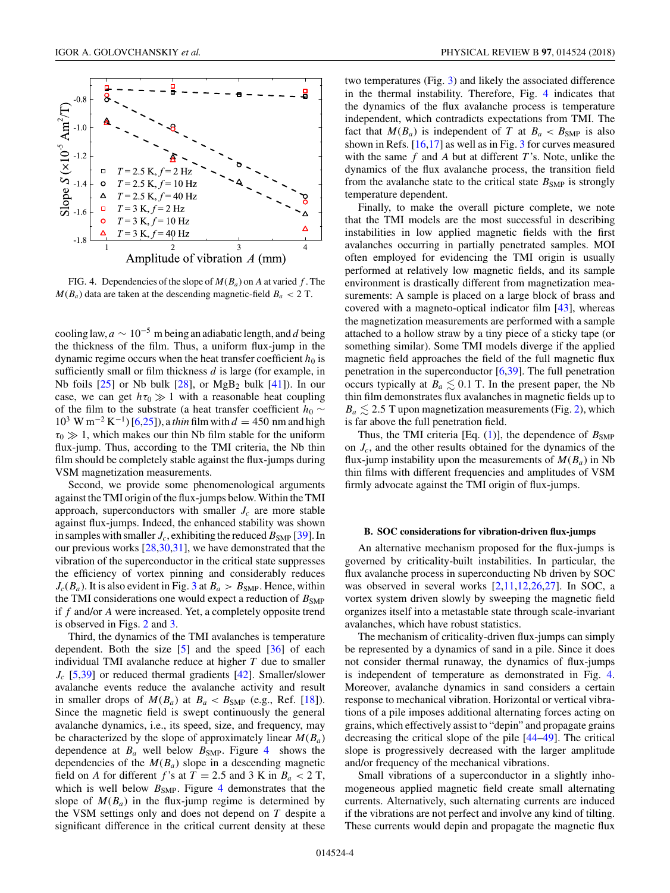<span id="page-5-0"></span>

FIG. 4. Dependencies of the slope of  $M(B_a)$  on *A* at varied *f*. The  $M(B_a)$  data are taken at the descending magnetic-field  $B_a < 2$  T.

cooling law, *<sup>a</sup>* <sup>∼</sup> <sup>10</sup>−<sup>5</sup> m being an adiabatic length, and *<sup>d</sup>* being the thickness of the film. Thus, a uniform flux-jump in the dynamic regime occurs when the heat transfer coefficient  $h_0$  is sufficiently small or film thickness *d* is large (for example, in Nb foils  $[25]$  or Nb bulk  $[28]$ , or MgB<sub>2</sub> bulk  $[41]$ ). In our case, we can get  $h\tau_0 \gg 1$  with a reasonable heat coupling of the film to the substrate (a heat transfer coefficient *h*<sup>0</sup> ∼ <sup>10</sup><sup>3</sup> W m−<sup>2</sup> <sup>K</sup>−1) [\[6](#page-7-0)[,25\]](#page-8-0)), a *thin* film with *<sup>d</sup>* <sup>=</sup> 450 nm and high  $\tau_0 \gg 1$ , which makes our thin Nb film stable for the uniform flux-jump. Thus, according to the TMI criteria, the Nb thin film should be completely stable against the flux-jumps during VSM magnetization measurements.

Second, we provide some phenomenological arguments against the TMI origin of the flux-jumps below.Within the TMI approach, superconductors with smaller  $J_c$  are more stable against flux-jumps. Indeed, the enhanced stability was shown in samples with smaller  $J_c$ , exhibiting the reduced  $B_{\text{SMP}}$  [\[39\]](#page-8-0). In our previous works [\[28,30,31\]](#page-8-0), we have demonstrated that the vibration of the superconductor in the critical state suppresses the efficiency of vortex pinning and considerably reduces  $J_c(B_a)$ . It is also evident in Fig. [3](#page-4-0) at  $B_a > B_{\text{SMP}}$ . Hence, within the TMI considerations one would expect a reduction of  $B_{\text{SMP}}$ if *f* and/or *A* were increased. Yet, a completely opposite trend is observed in Figs. [2](#page-4-0) and [3.](#page-4-0)

Third, the dynamics of the TMI avalanches is temperature dependent. Both the size [\[5\]](#page-7-0) and the speed [\[36\]](#page-8-0) of each individual TMI avalanche reduce at higher *T* due to smaller *J<sub>c</sub>* [\[5](#page-7-0)[,39\]](#page-8-0) or reduced thermal gradients [\[42\]](#page-8-0). Smaller/slower avalanche events reduce the avalanche activity and result in smaller drops of  $M(B_a)$  at  $B_a < B_{\text{SMP}}$  (e.g., Ref. [\[18\]](#page-8-0)). Since the magnetic field is swept continuously the general avalanche dynamics, i.e., its speed, size, and frequency, may be characterized by the slope of approximately linear  $M(B_a)$ dependence at  $B_a$  well below  $B_{\text{SMP}}$ . Figure 4 shows the dependencies of the  $M(B_a)$  slope in a descending magnetic field on *A* for different *f*'s at  $T = 2.5$  and 3 K in  $B_a < 2$  T, which is well below  $B_{\text{SMP}}$ . Figure 4 demonstrates that the slope of  $M(B_a)$  in the flux-jump regime is determined by the VSM settings only and does not depend on *T* despite a significant difference in the critical current density at these two temperatures (Fig. [3\)](#page-4-0) and likely the associated difference in the thermal instability. Therefore, Fig. 4 indicates that the dynamics of the flux avalanche process is temperature independent, which contradicts expectations from TMI. The fact that  $M(B_a)$  is independent of *T* at  $B_a < B_{\text{SMP}}$  is also shown in Refs. [\[16,17\]](#page-8-0) as well as in Fig. [3](#page-4-0) for curves measured with the same *f* and *A* but at different *T* 's. Note, unlike the dynamics of the flux avalanche process, the transition field from the avalanche state to the critical state  $B_{\text{SMP}}$  is strongly temperature dependent.

Finally, to make the overall picture complete, we note that the TMI models are the most successful in describing instabilities in low applied magnetic fields with the first avalanches occurring in partially penetrated samples. MOI often employed for evidencing the TMI origin is usually performed at relatively low magnetic fields, and its sample environment is drastically different from magnetization measurements: A sample is placed on a large block of brass and covered with a magneto-optical indicator film [\[43\]](#page-8-0), whereas the magnetization measurements are performed with a sample attached to a hollow straw by a tiny piece of a sticky tape (or something similar). Some TMI models diverge if the applied magnetic field approaches the field of the full magnetic flux penetration in the superconductor  $[6,39]$  $[6,39]$ . The full penetration occurs typically at  $B_a \leq 0.1$  T. In the present paper, the Nb thin film demonstrates flux avalanches in magnetic fields up to  $B_a \leq 2.5$  T upon magnetization measurements (Fig. [2\)](#page-4-0), which is far above the full penetration field.

Thus, the TMI criteria [Eq. [\(1\)](#page-4-0)], the dependence of  $B_{\text{SMP}}$ on *Jc*, and the other results obtained for the dynamics of the flux-jump instability upon the measurements of  $M(B_a)$  in Nb thin films with different frequencies and amplitudes of VSM firmly advocate against the TMI origin of flux-jumps.

#### **B. SOC considerations for vibration-driven flux-jumps**

An alternative mechanism proposed for the flux-jumps is governed by criticality-built instabilities. In particular, the flux avalanche process in superconducting Nb driven by SOC was observed in several works [\[2,11,12](#page-7-0)[,26,27\]](#page-8-0). In SOC, a vortex system driven slowly by sweeping the magnetic field organizes itself into a metastable state through scale-invariant avalanches, which have robust statistics.

The mechanism of criticality-driven flux-jumps can simply be represented by a dynamics of sand in a pile. Since it does not consider thermal runaway, the dynamics of flux-jumps is independent of temperature as demonstrated in Fig. 4. Moreover, avalanche dynamics in sand considers a certain response to mechanical vibration. Horizontal or vertical vibrations of a pile imposes additional alternating forces acting on grains, which effectively assist to "depin" and propagate grains decreasing the critical slope of the pile [\[44–49\]](#page-8-0). The critical slope is progressively decreased with the larger amplitude and/or frequency of the mechanical vibrations.

Small vibrations of a superconductor in a slightly inhomogeneous applied magnetic field create small alternating currents. Alternatively, such alternating currents are induced if the vibrations are not perfect and involve any kind of tilting. These currents would depin and propagate the magnetic flux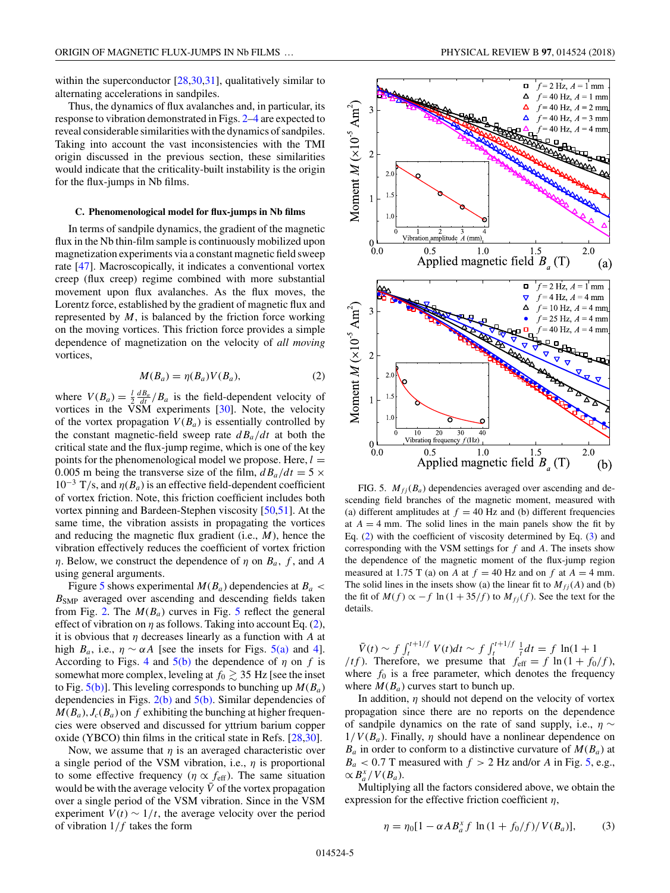<span id="page-6-0"></span>within the superconductor  $[28,30,31]$ , qualitatively similar to alternating accelerations in sandpiles.

Thus, the dynamics of flux avalanches and, in particular, its response to vibration demonstrated in Figs. [2–](#page-4-0)[4](#page-5-0) are expected to reveal considerable similarities with the dynamics of sandpiles. Taking into account the vast inconsistencies with the TMI origin discussed in the previous section, these similarities would indicate that the criticality-built instability is the origin for the flux-jumps in Nb films.

#### **C. Phenomenological model for flux-jumps in Nb films**

In terms of sandpile dynamics, the gradient of the magnetic flux in the Nb thin-film sample is continuously mobilized upon magnetization experiments via a constant magnetic field sweep rate [\[47\]](#page-8-0). Macroscopically, it indicates a conventional vortex creep (flux creep) regime combined with more substantial movement upon flux avalanches. As the flux moves, the Lorentz force, established by the gradient of magnetic flux and represented by *M*, is balanced by the friction force working on the moving vortices. This friction force provides a simple dependence of magnetization on the velocity of *all moving* vortices,

$$
M(B_a) = \eta(B_a) V(B_a), \tag{2}
$$

where  $V(B_a) = \frac{1}{2} \frac{dB_a}{dt} / B_a$  is the field-dependent velocity of vortices in the VSM experiments [\[30\]](#page-8-0). Note, the velocity of the vortex propagation  $V(B_a)$  is essentially controlled by the constant magnetic-field sweep rate  $dB_a/dt$  at both the critical state and the flux-jump regime, which is one of the key points for the phenomenological model we propose. Here,  $l =$ 0.005 m being the transverse size of the film,  $dB_a/dt = 5 \times$  $10^{-3}$  T/s, and  $\eta(B_a)$  is an effective field-dependent coefficient of vortex friction. Note, this friction coefficient includes both vortex pinning and Bardeen-Stephen viscosity [\[50,51\]](#page-8-0). At the same time, the vibration assists in propagating the vortices and reducing the magnetic flux gradient (i.e., *M*), hence the vibration effectively reduces the coefficient of vortex friction *η*. Below, we construct the dependence of *η* on *Ba, f* , and *A* using general arguments.

Figure 5 shows experimental  $M(B_a)$  dependencies at  $B_a$  <  $B<sub>SMP</sub>$  averaged over ascending and descending fields taken from Fig. [2.](#page-4-0) The  $M(B_a)$  curves in Fig. 5 reflect the general effect of vibration on  $\eta$  as follows. Taking into account Eq. (2), it is obvious that *η* decreases linearly as a function with *A* at high  $B_a$ , i.e.,  $\eta \sim \alpha A$  [see the insets for Figs. 5(a) and [4\]](#page-5-0). According to Figs. [4](#page-5-0) and  $5(b)$  the dependence of  $\eta$  on  $f$  is somewhat more complex, leveling at  $f_0 \gtrsim 35$  Hz [see the inset to Fig.  $5(b)$ ]. This leveling corresponds to bunching up  $M(B_a)$ dependencies in Figs.  $2(b)$  and  $5(b)$ . Similar dependencies of  $M(B_a)$ ,  $J_c(B_a)$  on  $f$  exhibiting the bunching at higher frequencies were observed and discussed for yttrium barium copper oxide (YBCO) thin films in the critical state in Refs. [\[28,30\]](#page-8-0).

Now, we assume that  $\eta$  is an averaged characteristic over a single period of the VSM vibration, i.e., *η* is proportional to some effective frequency ( $\eta \propto f_{\text{eff}}$ ). The same situation would be with the average velocity  $\bar{V}$  of the vortex propagation over a single period of the VSM vibration. Since in the VSM experiment  $V(t) \sim 1/t$ , the average velocity over the period of vibration 1*/f* takes the form



FIG. 5.  $M_{fi}(B_a)$  dependencies averaged over ascending and descending field branches of the magnetic moment, measured with (a) different amplitudes at  $f = 40$  Hz and (b) different frequencies at  $A = 4$  mm. The solid lines in the main panels show the fit by Eq. (2) with the coefficient of viscosity determined by Eq. (3) and corresponding with the VSM settings for *f* and *A*. The insets show the dependence of the magnetic moment of the flux-jump region measured at 1.75 T (a) on *A* at  $f = 40$  Hz and on  $f$  at  $A = 4$  mm. The solid lines in the insets show (a) the linear fit to  $M_{fi}(A)$  and (b) the fit of  $M(f) \propto -f \ln(1 + 35/f)$  to  $M_{fj}(f)$ . See the text for the details.

 $\bar{V}(t) \sim f \int_{t}^{t+1/f} V(t) dt \sim f \int_{t}^{t+1/f} \frac{1}{t} dt = f \ln(1 + 1)$ */tf*). Therefore, we presume that  $f_{\text{eff}} = f \ln(1 + f_0/f)$ , where  $f_0$  is a free parameter, which denotes the frequency where  $M(B_a)$  curves start to bunch up.

In addition, *η* should not depend on the velocity of vortex propagation since there are no reports on the dependence of sandpile dynamics on the rate of sand supply, i.e., *η* ∼  $1/V(B_a)$ . Finally,  $\eta$  should have a nonlinear dependence on  $B_a$  in order to conform to a distinctive curvature of  $M(B_a)$  at  $B_a < 0.7$  T measured with  $f > 2$  Hz and/or *A* in Fig. 5, e.g.,  $\propto$  *B*<sup>*x*</sup></sup> */V*(*B<sub>a</sub>*).

Multiplying all the factors considered above, we obtain the expression for the effective friction coefficient *η*,

$$
\eta = \eta_0 [1 - \alpha A B_a^x f \ln(1 + f_0/f) / V(B_a)], \tag{3}
$$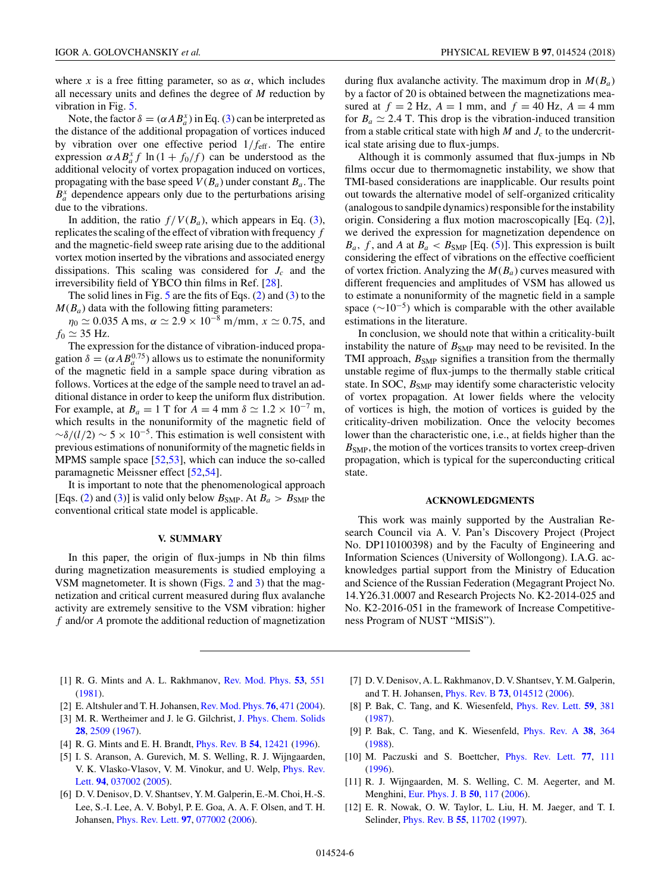<span id="page-7-0"></span>where *x* is a free fitting parameter, so as  $\alpha$ , which includes all necessary units and defines the degree of *M* reduction by vibration in Fig. [5.](#page-6-0)

Note, the factor  $\delta = (\alpha AB_a^x)$  in Eq. [\(3\)](#page-6-0) can be interpreted as the distance of the additional propagation of vortices induced by vibration over one effective period 1*/f*eff. The entire expression  $\alpha AB_a^x f \ln(1 + f_0/f)$  can be understood as the additional velocity of vortex propagation induced on vortices, propagating with the base speed  $V(B_a)$  under constant  $B_a$ . The  $B^x_a$  dependence appears only due to the perturbations arising due to the vibrations.

In addition, the ratio  $f/V(B_a)$ , which appears in Eq. [\(3\)](#page-6-0), replicates the scaling of the effect of vibration with frequency *f* and the magnetic-field sweep rate arising due to the additional vortex motion inserted by the vibrations and associated energy dissipations. This scaling was considered for *J<sub>c</sub>* and the irreversibility field of YBCO thin films in Ref. [\[28\]](#page-8-0).

The solid lines in Fig.  $5$  are the fits of Eqs. [\(2\)](#page-6-0) and [\(3\)](#page-6-0) to the  $M(B_a)$  data with the following fitting parameters:

 $\eta_0 \simeq 0.035$  A ms,  $\alpha \simeq 2.9 \times 10^{-8}$  m/mm,  $x \simeq 0.75$ , and  $f_0 \simeq 35$  Hz.

The expression for the distance of vibration-induced propagation  $\delta = (\alpha A B_a^{0.75})$  allows us to estimate the nonuniformity of the magnetic field in a sample space during vibration as follows. Vortices at the edge of the sample need to travel an additional distance in order to keep the uniform flux distribution. For example, at  $B_a = 1$  T for  $A = 4$  mm  $\delta \simeq 1.2 \times 10^{-7}$  m, which results in the nonuniformity of the magnetic field of  $\sim \delta/(l/2) \sim 5 \times 10^{-5}$ . This estimation is well consistent with previous estimations of nonuniformity of the magnetic fields in MPMS sample space [\[52,53\]](#page-8-0), which can induce the so-called paramagnetic Meissner effect [\[52,54\]](#page-8-0).

It is important to note that the phenomenological approach [Eqs. [\(2\)](#page-6-0) and [\(3\)](#page-6-0)] is valid only below  $B_{\text{SMP}}$ . At  $B_a > B_{\text{SMP}}$  the conventional critical state model is applicable.

#### **V. SUMMARY**

In this paper, the origin of flux-jumps in Nb thin films during magnetization measurements is studied employing a VSM magnetometer. It is shown (Figs. [2](#page-4-0) and [3\)](#page-4-0) that the magnetization and critical current measured during flux avalanche activity are extremely sensitive to the VSM vibration: higher *f* and/or *A* promote the additional reduction of magnetization during flux avalanche activity. The maximum drop in  $M(B_a)$ by a factor of 20 is obtained between the magnetizations measured at  $f = 2$  Hz,  $A = 1$  mm, and  $f = 40$  Hz,  $A = 4$  mm for  $B_a \simeq 2.4$  T. This drop is the vibration-induced transition from a stable critical state with high  $M$  and  $J_c$  to the undercritical state arising due to flux-jumps.

Although it is commonly assumed that flux-jumps in Nb films occur due to thermomagnetic instability, we show that TMI-based considerations are inapplicable. Our results point out towards the alternative model of self-organized criticality (analogous to sandpile dynamics) responsible for the instability origin. Considering a flux motion macroscopically [Eq. [\(2\)](#page-6-0)], we derived the expression for magnetization dependence on  $B_a$ , f, and A at  $B_a$  <  $B_{\text{SMP}}$  [Eq. [\(5\)](#page-6-0)]. This expression is built considering the effect of vibrations on the effective coefficient of vortex friction. Analyzing the  $M(B_a)$  curves measured with different frequencies and amplitudes of VSM has allowed us to estimate a nonuniformity of the magnetic field in a sample space ( $\sim$ 10<sup>-5</sup>) which is comparable with the other available estimations in the literature.

In conclusion, we should note that within a criticality-built instability the nature of  $B_{\text{SMP}}$  may need to be revisited. In the TMI approach,  $B<sub>SMP</sub>$  signifies a transition from the thermally unstable regime of flux-jumps to the thermally stable critical state. In SOC,  $B<sub>SMP</sub>$  may identify some characteristic velocity of vortex propagation. At lower fields where the velocity of vortices is high, the motion of vortices is guided by the criticality-driven mobilization. Once the velocity becomes lower than the characteristic one, i.e., at fields higher than the  $B<sub>SMP</sub>$ , the motion of the vortices transits to vortex creep-driven propagation, which is typical for the superconducting critical state.

#### **ACKNOWLEDGMENTS**

This work was mainly supported by the Australian Research Council via A. V. Pan's Discovery Project (Project No. DP110100398) and by the Faculty of Engineering and Information Sciences (University of Wollongong). I.A.G. acknowledges partial support from the Ministry of Education and Science of the Russian Federation (Megagrant Project No. 14.Y26.31.0007 and Research Projects No. K2-2014-025 and No. K2-2016-051 in the framework of Increase Competitiveness Program of NUST "MISiS").

- [1] R. G. Mints and A. L. Rakhmanov, [Rev. Mod. Phys.](https://doi.org/10.1103/RevModPhys.53.551) **[53](https://doi.org/10.1103/RevModPhys.53.551)**, [551](https://doi.org/10.1103/RevModPhys.53.551) [\(1981\)](https://doi.org/10.1103/RevModPhys.53.551).
- [2] E. Altshuler and T. H. Johansen,[Rev. Mod. Phys.](https://doi.org/10.1103/RevModPhys.76.471) **[76](https://doi.org/10.1103/RevModPhys.76.471)**, [471](https://doi.org/10.1103/RevModPhys.76.471) [\(2004\)](https://doi.org/10.1103/RevModPhys.76.471).
- [3] M. R. Wertheimer and J. le G. Gilchrist, [J. Phys. Chem. Solids](https://doi.org/10.1016/0022-3697(67)90038-8) **[28](https://doi.org/10.1016/0022-3697(67)90038-8)**, [2509](https://doi.org/10.1016/0022-3697(67)90038-8) [\(1967\)](https://doi.org/10.1016/0022-3697(67)90038-8).
- [4] R. G. Mints and E. H. Brandt, [Phys. Rev. B](https://doi.org/10.1103/PhysRevB.54.12421) **[54](https://doi.org/10.1103/PhysRevB.54.12421)**, [12421](https://doi.org/10.1103/PhysRevB.54.12421) [\(1996\)](https://doi.org/10.1103/PhysRevB.54.12421).
- [5] I. S. Aranson, A. Gurevich, M. S. Welling, R. J. Wijngaarden, [V. K. Vlasko-Vlasov, V. M. Vinokur, and U. Welp,](https://doi.org/10.1103/PhysRevLett.94.037002) Phys. Rev. Lett. **[94](https://doi.org/10.1103/PhysRevLett.94.037002)**, [037002](https://doi.org/10.1103/PhysRevLett.94.037002) [\(2005\)](https://doi.org/10.1103/PhysRevLett.94.037002).
- [6] D. V. Denisov, D. V. Shantsev, Y. M. Galperin, E.-M. Choi, H.-S. Lee, S.-I. Lee, A. V. Bobyl, P. E. Goa, A. A. F. Olsen, and T. H. Johansen, [Phys. Rev. Lett.](https://doi.org/10.1103/PhysRevLett.97.077002) **[97](https://doi.org/10.1103/PhysRevLett.97.077002)**, [077002](https://doi.org/10.1103/PhysRevLett.97.077002) [\(2006\)](https://doi.org/10.1103/PhysRevLett.97.077002).
- [7] D. V. Denisov, A. L. Rakhmanov, D. V. Shantsev, Y.M. Galperin, and T. H. Johansen, [Phys. Rev. B](https://doi.org/10.1103/PhysRevB.73.014512) **[73](https://doi.org/10.1103/PhysRevB.73.014512)**, [014512](https://doi.org/10.1103/PhysRevB.73.014512) [\(2006\)](https://doi.org/10.1103/PhysRevB.73.014512).
- [8] P. Bak, C. Tang, and K. Wiesenfeld, [Phys. Rev. Lett.](https://doi.org/10.1103/PhysRevLett.59.381) **[59](https://doi.org/10.1103/PhysRevLett.59.381)**, [381](https://doi.org/10.1103/PhysRevLett.59.381) [\(1987\)](https://doi.org/10.1103/PhysRevLett.59.381).
- [9] P. Bak, C. Tang, and K. Wiesenfeld, [Phys. Rev. A](https://doi.org/10.1103/PhysRevA.38.364) **[38](https://doi.org/10.1103/PhysRevA.38.364)**, [364](https://doi.org/10.1103/PhysRevA.38.364) [\(1988\)](https://doi.org/10.1103/PhysRevA.38.364).
- [10] M. Paczuski and S. Boettcher, [Phys. Rev. Lett.](https://doi.org/10.1103/PhysRevLett.77.111) **[77](https://doi.org/10.1103/PhysRevLett.77.111)**, [111](https://doi.org/10.1103/PhysRevLett.77.111) [\(1996\)](https://doi.org/10.1103/PhysRevLett.77.111).
- [11] R. J. Wijngaarden, M. S. Welling, C. M. Aegerter, and M. Menghini, [Eur. Phys. J. B](https://doi.org/10.1140/epjb/e2006-00063-7) **[50](https://doi.org/10.1140/epjb/e2006-00063-7)**, [117](https://doi.org/10.1140/epjb/e2006-00063-7) [\(2006\)](https://doi.org/10.1140/epjb/e2006-00063-7).
- [12] E. R. Nowak, O. W. Taylor, L. Liu, H. M. Jaeger, and T. I. Selinder, [Phys. Rev. B](https://doi.org/10.1103/PhysRevB.55.11702) **[55](https://doi.org/10.1103/PhysRevB.55.11702)**, [11702](https://doi.org/10.1103/PhysRevB.55.11702) [\(1997\)](https://doi.org/10.1103/PhysRevB.55.11702).